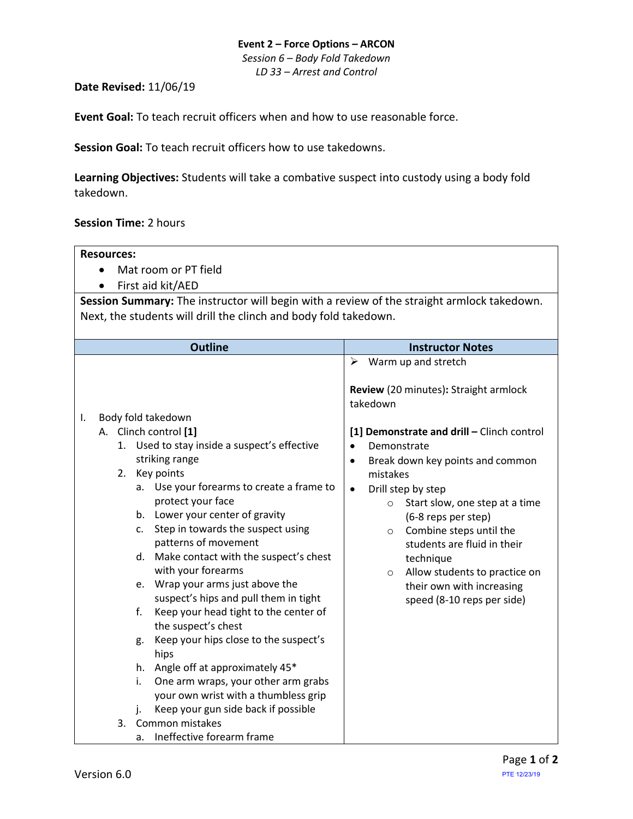## **Event 2 – Force Options – ARCON** *Session 6 – Body Fold Takedown*

*LD 33 – Arrest and Control*

## **Date Revised:** 11/06/19

**Event Goal:** To teach recruit officers when and how to use reasonable force.

**Session Goal:** To teach recruit officers how to use takedowns.

**Learning Objectives:** Students will take a combative suspect into custody using a body fold takedown.

## **Session Time:** 2 hours

| <b>Resources:</b>                                                                                                                                                                                                                                                                                                                                                                                                                                                                                                                                                                                                                                                                                                                                                           |                                                                                                                                                                                                                                                                                                                                                                                                                                                                                                                                  |  |
|-----------------------------------------------------------------------------------------------------------------------------------------------------------------------------------------------------------------------------------------------------------------------------------------------------------------------------------------------------------------------------------------------------------------------------------------------------------------------------------------------------------------------------------------------------------------------------------------------------------------------------------------------------------------------------------------------------------------------------------------------------------------------------|----------------------------------------------------------------------------------------------------------------------------------------------------------------------------------------------------------------------------------------------------------------------------------------------------------------------------------------------------------------------------------------------------------------------------------------------------------------------------------------------------------------------------------|--|
| Mat room or PT field<br>$\bullet$                                                                                                                                                                                                                                                                                                                                                                                                                                                                                                                                                                                                                                                                                                                                           |                                                                                                                                                                                                                                                                                                                                                                                                                                                                                                                                  |  |
| First aid kit/AED                                                                                                                                                                                                                                                                                                                                                                                                                                                                                                                                                                                                                                                                                                                                                           |                                                                                                                                                                                                                                                                                                                                                                                                                                                                                                                                  |  |
| Session Summary: The instructor will begin with a review of the straight armlock takedown.<br>Next, the students will drill the clinch and body fold takedown.                                                                                                                                                                                                                                                                                                                                                                                                                                                                                                                                                                                                              |                                                                                                                                                                                                                                                                                                                                                                                                                                                                                                                                  |  |
| <b>Outline</b>                                                                                                                                                                                                                                                                                                                                                                                                                                                                                                                                                                                                                                                                                                                                                              | <b>Instructor Notes</b>                                                                                                                                                                                                                                                                                                                                                                                                                                                                                                          |  |
| Body fold takedown<br>I.<br>A. Clinch control [1]<br>1. Used to stay inside a suspect's effective<br>striking range<br>Key points<br>2.<br>Use your forearms to create a frame to<br>a.<br>protect your face<br>b. Lower your center of gravity<br>Step in towards the suspect using<br>c.<br>patterns of movement<br>Make contact with the suspect's chest<br>d.<br>with your forearms<br>Wrap your arms just above the<br>e.<br>suspect's hips and pull them in tight<br>Keep your head tight to the center of<br>f.<br>the suspect's chest<br>Keep your hips close to the suspect's<br>g.<br>hips<br>h. Angle off at approximately 45*<br>One arm wraps, your other arm grabs<br>i.<br>your own wrist with a thumbless grip<br>Keep your gun side back if possible<br>i. | $\triangleright$ Warm up and stretch<br>Review (20 minutes): Straight armlock<br>takedown<br>[1] Demonstrate and drill - Clinch control<br>Demonstrate<br>$\bullet$<br>Break down key points and common<br>$\bullet$<br>mistakes<br>Drill step by step<br>$\bullet$<br>Start slow, one step at a time<br>$\circ$<br>(6-8 reps per step)<br>Combine steps until the<br>$\circ$<br>students are fluid in their<br>technique<br>Allow students to practice on<br>$\circ$<br>their own with increasing<br>speed (8-10 reps per side) |  |
| Common mistakes<br>3.<br>Ineffective forearm frame<br>a.                                                                                                                                                                                                                                                                                                                                                                                                                                                                                                                                                                                                                                                                                                                    |                                                                                                                                                                                                                                                                                                                                                                                                                                                                                                                                  |  |